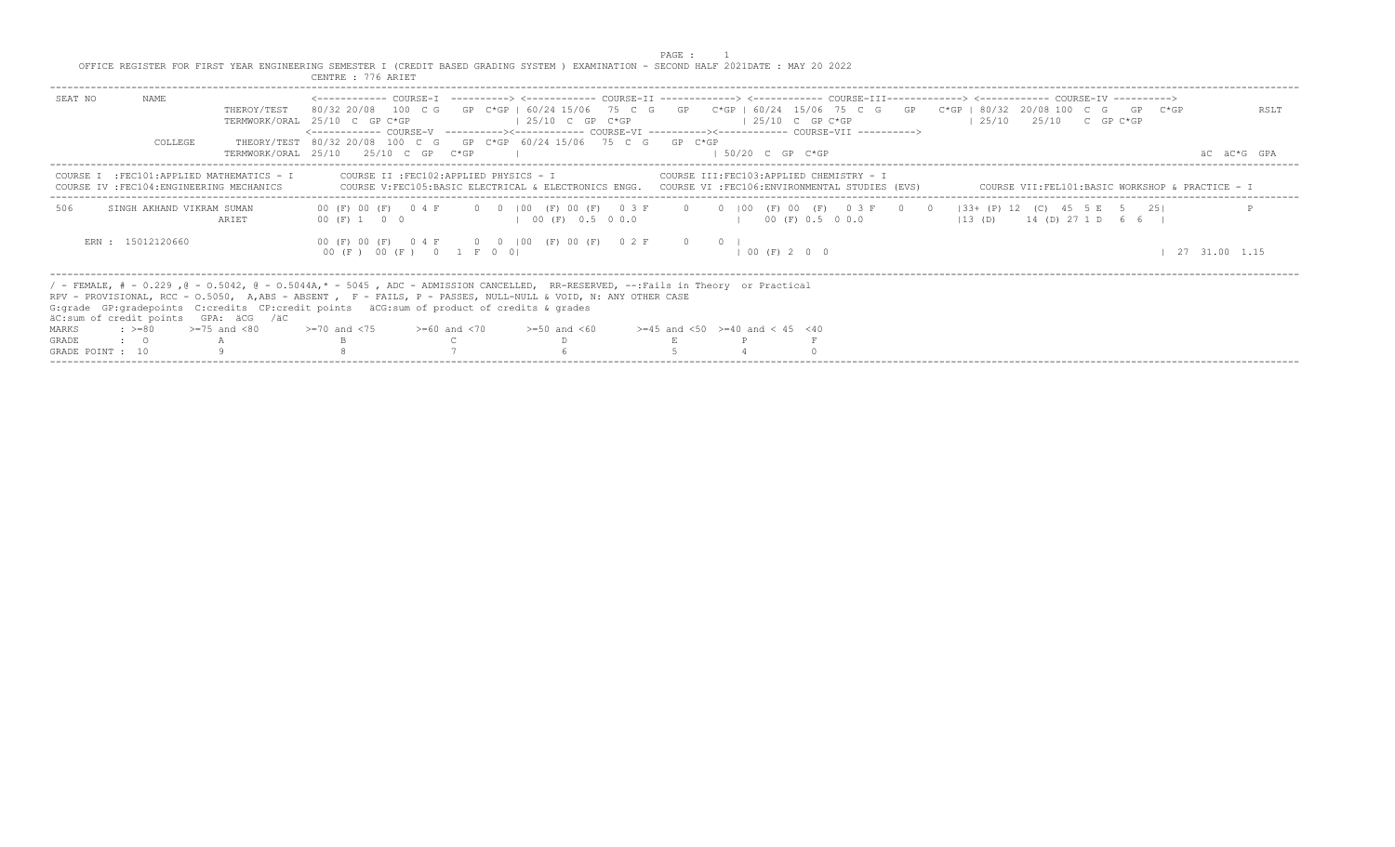|                                                                                                                                       | PAGE : |  |  |
|---------------------------------------------------------------------------------------------------------------------------------------|--------|--|--|
| OFFICE REGISTER FOR FIRST YEAR ENGINEERING SEMESTER I (CREDIT BASED GRADING SYSTEM ) EXAMINATION - SECOND HALF 2021DATE : MAY 20 2022 |        |  |  |
| CENTRE : 776 ARIET                                                                                                                    |        |  |  |

| NAME<br>SEAT NO<br>THEROY/TEST<br>COLLEGE                                               | 80/32 20/08 100 C G GP C*GP   60/24 15/06 75 C G GP C*GP   60/24 15/06 75 C G GP C*GP   80/32 20/08 100 C G GP C*GP<br>$\vert$ 25/10 C GP C*GP<br>TERMWORK/ORAL 25/10 C GP C*GP<br><------------- COURSE-V ----------><----------- COURSE-VI ----------><----------- COURSE-VII -----------><br>THEORY/TEST 80/32 20/08 100 C G GP C*GP 60/24 15/06 75 C G GP C*GP | $125/10$ C GP C*GP                                                                                                                                                                                                          | RSLT<br>$125/10$ $25/10$ C GP C*GP                         |
|-----------------------------------------------------------------------------------------|--------------------------------------------------------------------------------------------------------------------------------------------------------------------------------------------------------------------------------------------------------------------------------------------------------------------------------------------------------------------|-----------------------------------------------------------------------------------------------------------------------------------------------------------------------------------------------------------------------------|------------------------------------------------------------|
|                                                                                         | TERMWORK/ORAL 25/10 25/10 C GP C*GP                                                                                                                                                                                                                                                                                                                                | $1.50/20$ C GP C*GP                                                                                                                                                                                                         | AC AC*G GPA                                                |
| COURSE I : FEC101: APPLIED MATHEMATICS - I<br>COURSE IV : FEC104: ENGINEERING MECHANICS | COURSE V:FEC105:BASIC ELECTRICAL & ELECTRONICS ENGG. COURSE VI :FEC106:ENVIRONMENTAL STUDIES (EVS) COURSE VII:FEL101:BASIC WORKSHOP & PRACTICE - I                                                                                                                                                                                                                 |                                                                                                                                                                                                                             |                                                            |
| 506<br>SINGH AKHAND VIKRAM SUMAN<br>ARIET                                               | 00 (F) 00 (F) 0 4 F 0 0   00 (F) 00 (F) 0 3 F 0 0   00 (F) 00 (F) 0 3 F 0 0   33+ (P) 12 (C) 45 5 E 5 25  <br>00 (F) 1 0 0<br>100(F) 0.5 00.0                                                                                                                                                                                                                      | $($ $)$ $($ $)$ $($ $)$ $($ $)$ $($ $)$ $($ $)$ $($ $)$ $($ $)$ $($ $)$ $($ $)$ $($ $)$ $($ $)$ $($ $)$ $($ $)$ $($ $)$ $($ $)$ $($ $)$ $($ $)$ $($ $)$ $($ $)$ $($ $)$ $($ $)$ $($ $)$ $($ $)$ $($ $)$ $($ $)$ $($ $)$ $($ | $113$ (D) $14$ (D) $27$ 1 D 6 6 I                          |
| ERN : 15012120660                                                                       | 00 (F) 00 (F) 0 4 F 0 0 100 (F) 00 (F) 0 2 F 0 0 1<br>00 (F) 00 (F) 0 1 F 0 0                                                                                                                                                                                                                                                                                      | 100(F) 200                                                                                                                                                                                                                  | $\begin{array}{cccc} \mid & 27 & 31.00 & 1.15 \end{array}$ |
| äC:sum of credit points GPA: äCG /äC                                                    | / - FEMALE, # - 0.229, @ - 0.5042, @ - 0.5044A,* - 5045, ADC - ADMISSION CANCELLED, RR-RESERVED, --:Fails in Theory or Practical<br>RPV - PROVISIONAL, RCC - 0.5050, A,ABS - ABSENT , F - FAILS, P - PASSES, NULL-NULL & VOID, N: ANY OTHER CASE<br>G: qrade GP: qradepoints C: credits CP: credit points äCG: sum of product of credits & qrades                  |                                                                                                                                                                                                                             |                                                            |
| $\Rightarrow$ $>=$ 80 $\Rightarrow$ $=$ 75 and <80<br>MARKS                             | $>=70$ and $<75$ $>=60$ and $<70$<br>$>=50$ and $<60$                                                                                                                                                                                                                                                                                                              | $>=45$ and $<50$ $>=40$ and $< 45$ $<40$                                                                                                                                                                                    |                                                            |
| GRADE<br>$\cdot$ 0<br>GRADE POINT : 10                                                  |                                                                                                                                                                                                                                                                                                                                                                    |                                                                                                                                                                                                                             |                                                            |